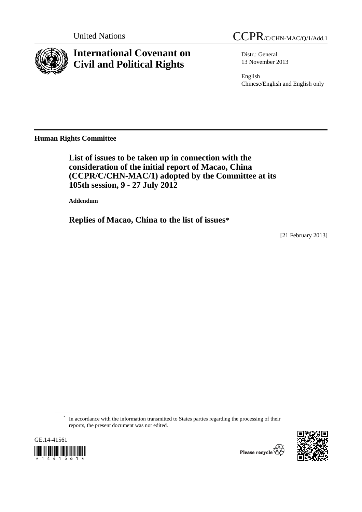

# **International Covenant on Civil and Political Rights**

Distr.: General 13 November 2013

English Chinese/English and English only

**Human Rights Committee** 

 **List of issues to be taken up in connection with the consideration of the initial report of Macao, China (CCPR/C/CHN-MAC/1) adopted by the Committee at its 105th session, 9 - 27 July 2012** 

 **Addendum** 

 **Replies of Macao, China to the list of issues\***

[21 February 2013]

\* In accordance with the information transmitted to States parties regarding the processing of their reports, the present document was not edited.



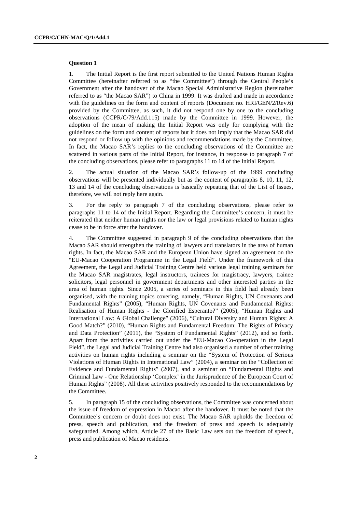## **Question 1**

1. The Initial Report is the first report submitted to the United Nations Human Rights Committee (hereinafter referred to as "the Committee") through the Central People's Government after the handover of the Macao Special Administrative Region (hereinafter referred to as "the Macao SAR") to China in 1999. It was drafted and made in accordance with the guidelines on the form and content of reports (Document no. HRI/GEN/2/Rev.6) provided by the Committee, as such, it did not respond one by one to the concluding observations (CCPR/C/79/Add.115) made by the Committee in 1999. However, the adoption of the mean of making the Initial Report was only for complying with the guidelines on the form and content of reports but it does not imply that the Macao SAR did not respond or follow up with the opinions and recommendations made by the Committee. In fact, the Macao SAR's replies to the concluding observations of the Committee are scattered in various parts of the Initial Report, for instance, in response to paragraph 7 of the concluding observations, please refer to paragraphs 11 to 14 of the Initial Report.

2. The actual situation of the Macao SAR's follow-up of the 1999 concluding observations will be presented individually but as the content of paragraphs 8, 10, 11, 12, 13 and 14 of the concluding observations is basically repeating that of the List of Issues, therefore, we will not reply here again.

3. For the reply to paragraph 7 of the concluding observations, please refer to paragraphs 11 to 14 of the Initial Report. Regarding the Committee's concern, it must be reiterated that neither human rights nor the law or legal provisions related to human rights cease to be in force after the handover.

4. The Committee suggested in paragraph 9 of the concluding observations that the Macao SAR should strengthen the training of lawyers and translators in the area of human rights. In fact, the Macao SAR and the European Union have signed an agreement on the "EU-Macao Cooperation Programme in the Legal Field". Under the framework of this Agreement, the Legal and Judicial Training Centre held various legal training seminars for the Macao SAR magistrates, legal instructors, trainees for magistracy, lawyers, trainee solicitors, legal personnel in government departments and other interested parties in the area of human rights. Since 2005, a series of seminars in this field had already been organised, with the training topics covering, namely, "Human Rights, UN Covenants and Fundamental Rights" (2005), "Human Rights, UN Covenants and Fundamental Rights: Realisation of Human Rights - the Glorified Esperanto?" (2005), "Human Rights and International Law: A Global Challenge" (2006), "Cultural Diversity and Human Rights: A Good Match?" (2010), "Human Rights and Fundamental Freedom: The Rights of Privacy and Data Protection" (2011), the "System of Fundamental Rights" (2012), and so forth. Apart from the activities carried out under the "EU-Macao Co-operation in the Legal Field", the Legal and Judicial Training Centre had also organised a number of other training activities on human rights including a seminar on the "System of Protection of Serious Violations of Human Rights in International Law" (2004), a seminar on the "Collection of Evidence and Fundamental Rights" (2007), and a seminar on "Fundamental Rights and Criminal Law - One Relationship 'Complex' in the Jurisprudence of the European Court of Human Rights" (2008). All these activities positively responded to the recommendations by the Committee.

5. In paragraph 15 of the concluding observations, the Committee was concerned about the issue of freedom of expression in Macao after the handover. It must be noted that the Committee's concern or doubt does not exist. The Macao SAR upholds the freedom of press, speech and publication, and the freedom of press and speech is adequately safeguarded. Among which, Article 27 of the Basic Law sets out the freedom of speech, press and publication of Macao residents.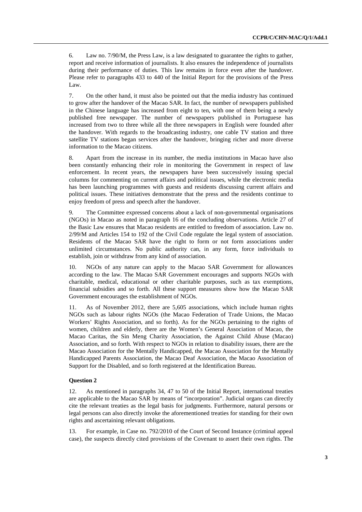6. Law no. 7/90/M, the Press Law, is a law designated to guarantee the rights to gather, report and receive information of journalists. It also ensures the independence of journalists during their performance of duties. This law remains in force even after the handover. Please refer to paragraphs 433 to 440 of the Initial Report for the provisions of the Press Law.

7. On the other hand, it must also be pointed out that the media industry has continued to grow after the handover of the Macao SAR. In fact, the number of newspapers published in the Chinese language has increased from eight to ten, with one of them being a newly published free newspaper. The number of newspapers published in Portuguese has increased from two to three while all the three newspapers in English were founded after the handover. With regards to the broadcasting industry, one cable TV station and three satellite TV stations began services after the handover, bringing richer and more diverse information to the Macao citizens.

8. Apart from the increase in its number, the media institutions in Macao have also been constantly enhancing their role in monitoring the Government in respect of law enforcement. In recent years, the newspapers have been successively issuing special columns for commenting on current affairs and political issues, while the electronic media has been launching programmes with guests and residents discussing current affairs and political issues. These initiatives demonstrate that the press and the residents continue to enjoy freedom of press and speech after the handover.

9. The Committee expressed concerns about a lack of non-governmental organisations (NGOs) in Macao as noted in paragraph 16 of the concluding observations. Article 27 of the Basic Law ensures that Macao residents are entitled to freedom of association. Law no. 2/99/M and Articles 154 to 192 of the Civil Code regulate the legal system of association. Residents of the Macao SAR have the right to form or not form associations under unlimited circumstances. No public authority can, in any form, force individuals to establish, join or withdraw from any kind of association.

10. NGOs of any nature can apply to the Macao SAR Government for allowances according to the law. The Macao SAR Government encourages and supports NGOs with charitable, medical, educational or other charitable purposes, such as tax exemptions, financial subsidies and so forth. All these support measures show how the Macao SAR Government encourages the establishment of NGOs.

11. As of November 2012, there are 5,605 associations, which include human rights NGOs such as labour rights NGOs (the Macao Federation of Trade Unions, the Macao Workers' Rights Association, and so forth). As for the NGOs pertaining to the rights of women, children and elderly, there are the Women's General Association of Macao, the Macao Caritas, the Sin Meng Charity Association, the Against Child Abuse (Macao) Association, and so forth. With respect to NGOs in relation to disability issues, there are the Macao Association for the Mentally Handicapped, the Macao Association for the Mentally Handicapped Parents Association, the Macao Deaf Association, the Macao Association of Support for the Disabled, and so forth registered at the Identification Bureau.

## **Question 2**

12. As mentioned in paragraphs 34, 47 to 50 of the Initial Report, international treaties are applicable to the Macao SAR by means of "incorporation". Judicial organs can directly cite the relevant treaties as the legal basis for judgments. Furthermore, natural persons or legal persons can also directly invoke the aforementioned treaties for standing for their own rights and ascertaining relevant obligations.

13. For example, in Case no. 792/2010 of the Court of Second Instance (criminal appeal case), the suspects directly cited provisions of the Covenant to assert their own rights. The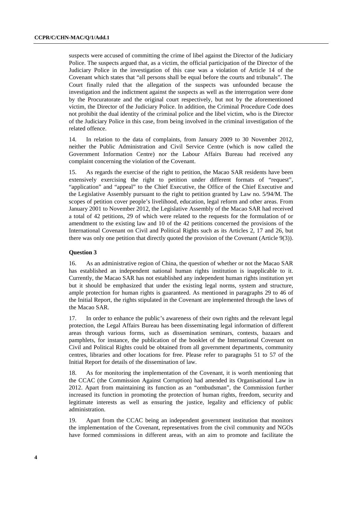suspects were accused of committing the crime of libel against the Director of the Judiciary Police. The suspects argued that, as a victim, the official participation of the Director of the Judiciary Police in the investigation of this case was a violation of Article 14 of the Covenant which states that "all persons shall be equal before the courts and tribunals". The Court finally ruled that the allegation of the suspects was unfounded because the investigation and the indictment against the suspects as well as the interrogation were done by the Procuratorate and the original court respectively, but not by the aforementioned victim, the Director of the Judiciary Police. In addition, the Criminal Procedure Code does not prohibit the dual identity of the criminal police and the libel victim, who is the Director of the Judiciary Police in this case, from being involved in the criminal investigation of the related offence.

14. In relation to the data of complaints, from January 2009 to 30 November 2012, neither the Public Administration and Civil Service Centre (which is now called the Government Information Centre) nor the Labour Affairs Bureau had received any complaint concerning the violation of the Covenant.

15. As regards the exercise of the right to petition, the Macao SAR residents have been extensively exercising the right to petition under different formats of "request". "application" and "appeal" to the Chief Executive, the Office of the Chief Executive and the Legislative Assembly pursuant to the right to petition granted by Law no. 5/94/M. The scopes of petition cover people's livelihood, education, legal reform and other areas. From January 2001 to November 2012, the Legislative Assembly of the Macao SAR had received a total of 42 petitions, 29 of which were related to the requests for the formulation of or amendment to the existing law and 10 of the 42 petitions concerned the provisions of the International Covenant on Civil and Political Rights such as its Articles 2, 17 and 26, but there was only one petition that directly quoted the provision of the Covenant (Article 9(3)).

# **Question 3**

16. As an administrative region of China, the question of whether or not the Macao SAR has established an independent national human rights institution is inapplicable to it. Currently, the Macao SAR has not established any independent human rights institution yet but it should be emphasized that under the existing legal norms, system and structure, ample protection for human rights is guaranteed. As mentioned in paragraphs 29 to 46 of the Initial Report, the rights stipulated in the Covenant are implemented through the laws of the Macao SAR.

17. In order to enhance the public's awareness of their own rights and the relevant legal protection, the Legal Affairs Bureau has been disseminating legal information of different areas through various forms, such as dissemination seminars, contests, bazaars and pamphlets, for instance, the publication of the booklet of the International Covenant on Civil and Political Rights could be obtained from all government departments, community centres, libraries and other locations for free. Please refer to paragraphs 51 to 57 of the Initial Report for details of the dissemination of law.

18. As for monitoring the implementation of the Covenant, it is worth mentioning that the CCAC (the Commission Against Corruption) had amended its Organisational Law in 2012. Apart from maintaining its function as an "ombudsman", the Commission further increased its function in promoting the protection of human rights, freedom, security and legitimate interests as well as ensuring the justice, legality and efficiency of public administration.

19. Apart from the CCAC being an independent government institution that monitors the implementation of the Covenant, representatives from the civil community and NGOs have formed commissions in different areas, with an aim to promote and facilitate the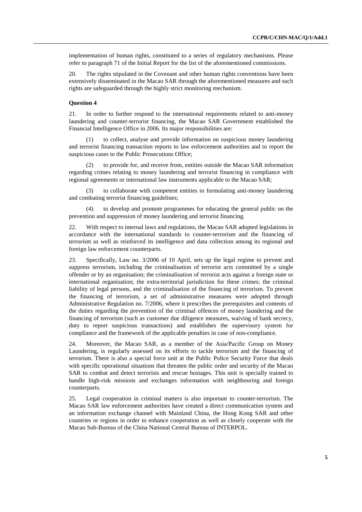implementation of human rights, constituted to a series of regulatory mechanisms. Please refer to paragraph 71 of the Initial Report for the list of the aforementioned commissions.

20. The rights stipulated in the Covenant and other human rights conventions have been extensively disseminated in the Macao SAR through the aforementioned measures and such rights are safeguarded through the highly strict monitoring mechanism.

# **Question 4**

21. In order to further respond to the international requirements related to anti-money laundering and counter-terrorist financing, the Macao SAR Government established the Financial Intelligence Office in 2006. Its major responsibilities are:

 (1) to collect, analyse and provide information on suspicious money laundering and terrorist financing transaction reports to law enforcement authorities and to report the suspicious cases to the Public Prosecutions Office;

 (2) to provide for, and receive from, entities outside the Macao SAR information regarding crimes relating to money laundering and terrorist financing in compliance with regional agreements or international law instruments applicable to the Macao SAR;

 (3) to collaborate with competent entities in formulating anti-money laundering and combating terrorist financing guidelines;

 (4) to develop and promote programmes for educating the general public on the prevention and suppression of money laundering and terrorist financing.

22. With respect to internal laws and regulations, the Macao SAR adopted legislations in accordance with the international standards to counter-terrorism and the financing of terrorism as well as reinforced its intelligence and data collection among its regional and foreign law enforcement counterparts.

23. Specifically, Law no. 3/2006 of 10 April, sets up the legal regime to prevent and suppress terrorism, including the criminalisation of terrorist acts committed by a single offender or by an organisation; the criminalisation of terrorist acts against a foreign state or international organisation; the extra-territorial jurisdiction for these crimes; the criminal liability of legal persons, and the criminalisation of the financing of terrorism. To prevent the financing of terrorism, a set of administrative measures were adopted through Administrative Regulation no. 7/2006, where it prescribes the prerequisites and contents of the duties regarding the prevention of the criminal offences of money laundering and the financing of terrorism (such as customer due diligence measures, waiving of bank secrecy, duty to report suspicious transactions) and establishes the supervisory system for compliance and the framework of the applicable penalties in case of non-compliance.

24. Moreover, the Macao SAR, as a member of the Asia/Pacific Group on Money Laundering, is regularly assessed on its efforts to tackle terrorism and the financing of terrorism. There is also a special force unit at the Public Police Security Force that deals with specific operational situations that threaten the public order and security of the Macao SAR to combat and detect terrorists and rescue hostages. This unit is specially trained to handle high-risk missions and exchanges information with neighbouring and foreign counterparts.

25. Legal cooperation in criminal matters is also important to counter-terrorism. The Macao SAR law enforcement authorities have created a direct communication system and an information exchange channel with Mainland China, the Hong Kong SAR and other countries or regions in order to enhance cooperation as well as closely cooperate with the Macao Sub-Bureau of the China National Central Bureau of INTERPOL.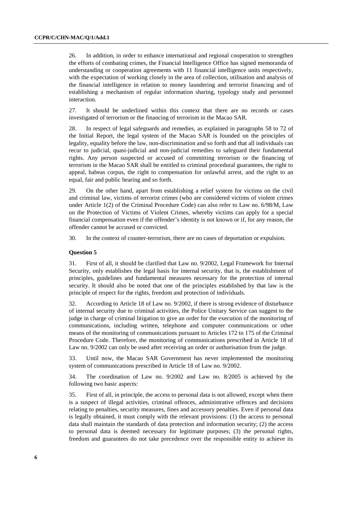26. In addition, in order to enhance international and regional cooperation to strengthen the efforts of combating crimes, the Financial Intelligence Office has signed memoranda of understanding or cooperation agreements with 11 financial intelligence units respectively, with the expectation of working closely in the area of collection, utilisation and analysis of the financial intelligence in relation to money laundering and terrorist financing and of establishing a mechanism of regular information sharing, typology study and personnel interaction.

27. It should be underlined within this context that there are no records or cases investigated of terrorism or the financing of terrorism in the Macao SAR.

28. In respect of legal safeguards and remedies, as explained in paragraphs 58 to 72 of the Initial Report, the legal system of the Macao SAR is founded on the principles of legality, equality before the law, non-discrimination and so forth and that all individuals can recur to judicial, quasi-judicial and non-judicial remedies to safeguard their fundamental rights. Any person suspected or accused of committing terrorism or the financing of terrorism in the Macao SAR shall be entitled to criminal procedural guarantees, the right to appeal, habeas corpus, the right to compensation for unlawful arrest, and the right to an equal, fair and public hearing and so forth.

29. On the other hand, apart from establishing a relief system for victims on the civil and criminal law, victims of terrorist crimes (who are considered victims of violent crimes under Article 1(2) of the Criminal Procedure Code) can also refer to Law no. 6/98/M, Law on the Protection of Victims of Violent Crimes, whereby victims can apply for a special financial compensation even if the offender's identity is not known or if, for any reason, the offender cannot be accused or convicted.

30. In the context of counter-terrorism, there are no cases of deportation or expulsion.

### **Question 5**

31. First of all, it should be clarified that Law no. 9/2002, Legal Framework for Internal Security, only establishes the legal basis for internal security, that is, the establishment of principles, guidelines and fundamental measures necessary for the protection of internal security. It should also be noted that one of the principles established by that law is the principle of respect for the rights, freedom and protection of individuals.

32. According to Article 18 of Law no. 9/2002, if there is strong evidence of disturbance of internal security due to criminal activities, the Police Unitary Service can suggest to the judge in charge of criminal litigation to give an order for the execution of the monitoring of communications, including written, telephone and computer communications or other means of the monitoring of communications pursuant to Articles 172 to 175 of the Criminal Procedure Code. Therefore, the monitoring of communications prescribed in Article 18 of Law no. 9/2002 can only be used after receiving an order or authorisation from the judge.

33. Until now, the Macao SAR Government has never implemented the monitoring system of communications prescribed in Article 18 of Law no. 9/2002.

34. The coordination of Law no. 9/2002 and Law no. 8/2005 is achieved by the following two basic aspects:

35. First of all, in principle, the access to personal data is not allowed, except when there is a suspect of illegal activities, criminal offences, administrative offences and decisions relating to penalties, security measures, fines and accessory penalties. Even if personal data is legally obtained, it must comply with the relevant provisions: (1) the access to personal data shall maintain the standards of data protection and information security; (2) the access to personal data is deemed necessary for legitimate purposes; (3) the personal rights, freedom and guarantees do not take precedence over the responsible entity to achieve its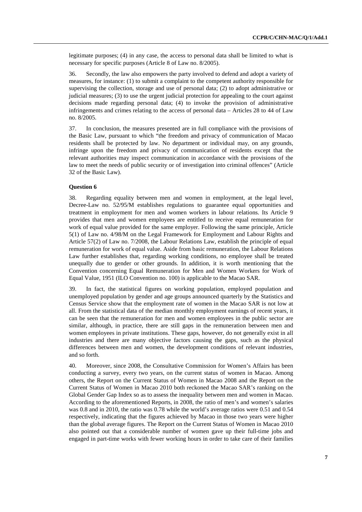legitimate purposes; (4) in any case, the access to personal data shall be limited to what is necessary for specific purposes (Article 8 of Law no. 8/2005).

36. Secondly, the law also empowers the party involved to defend and adopt a variety of measures, for instance: (1) to submit a complaint to the competent authority responsible for supervising the collection, storage and use of personal data; (2) to adopt administrative or judicial measures; (3) to use the urgent judicial protection for appealing to the court against decisions made regarding personal data; (4) to invoke the provision of administrative infringements and crimes relating to the access of personal data – Articles 28 to 44 of Law no. 8/2005.

37. In conclusion, the measures presented are in full compliance with the provisions of the Basic Law, pursuant to which "the freedom and privacy of communication of Macao residents shall be protected by law. No department or individual may, on any grounds, infringe upon the freedom and privacy of communication of residents except that the relevant authorities may inspect communication in accordance with the provisions of the law to meet the needs of public security or of investigation into criminal offences" (Article 32 of the Basic Law).

## **Question 6**

38. Regarding equality between men and women in employment, at the legal level, Decree-Law no. 52/95/M establishes regulations to guarantee equal opportunities and treatment in employment for men and women workers in labour relations. Its Article 9 provides that men and women employees are entitled to receive equal remuneration for work of equal value provided for the same employer. Following the same principle, Article 5(1) of Law no. 4/98/M on the Legal Framework for Employment and Labour Rights and Article 57(2) of Law no. 7/2008, the Labour Relations Law, establish the principle of equal remuneration for work of equal value. Aside from basic remuneration, the Labour Relations Law further establishes that, regarding working conditions, no employee shall be treated unequally due to gender or other grounds. In addition, it is worth mentioning that the Convention concerning Equal Remuneration for Men and Women Workers for Work of Equal Value, 1951 (ILO Convention no. 100) is applicable to the Macao SAR.

39. In fact, the statistical figures on working population, employed population and unemployed population by gender and age groups announced quarterly by the Statistics and Census Service show that the employment rate of women in the Macao SAR is not low at all. From the statistical data of the median monthly employment earnings of recent years, it can be seen that the remuneration for men and women employees in the public sector are similar, although, in practice, there are still gaps in the remuneration between men and women employees in private institutions. These gaps, however, do not generally exist in all industries and there are many objective factors causing the gaps, such as the physical differences between men and women, the development conditions of relevant industries, and so forth.

40. Moreover, since 2008, the Consultative Commission for Women's Affairs has been conducting a survey, every two years, on the current status of women in Macao. Among others, the Report on the Current Status of Women in Macao 2008 and the Report on the Current Status of Women in Macao 2010 both reckoned the Macao SAR's ranking on the Global Gender Gap Index so as to assess the inequality between men and women in Macao. According to the aforementioned Reports, in 2008, the ratio of men's and women's salaries was 0.8 and in 2010, the ratio was 0.78 while the world's average ratios were 0.51 and 0.54 respectively, indicating that the figures achieved by Macao in those two years were higher than the global average figures. The Report on the Current Status of Women in Macao 2010 also pointed out that a considerable number of women gave up their full-time jobs and engaged in part-time works with fewer working hours in order to take care of their families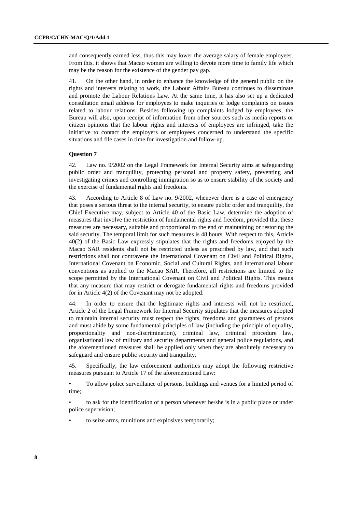and consequently earned less, thus this may lower the average salary of female employees. From this, it shows that Macao women are willing to devote more time to family life which may be the reason for the existence of the gender pay gap.

41. On the other hand, in order to enhance the knowledge of the general public on the rights and interests relating to work, the Labour Affairs Bureau continues to disseminate and promote the Labour Relations Law. At the same time, it has also set up a dedicated consultation email address for employees to make inquiries or lodge complaints on issues related to labour relations. Besides following up complaints lodged by employees, the Bureau will also, upon receipt of information from other sources such as media reports or citizen opinions that the labour rights and interests of employees are infringed, take the initiative to contact the employers or employees concerned to understand the specific situations and file cases in time for investigation and follow-up.

## **Question 7**

42. Law no. 9/2002 on the Legal Framework for Internal Security aims at safeguarding public order and tranquility, protecting personal and property safety, preventing and investigating crimes and controlling immigration so as to ensure stability of the society and the exercise of fundamental rights and freedoms.

43. According to Article 8 of Law no. 9/2002, whenever there is a case of emergency that poses a serious threat to the internal security, to ensure public order and tranquility, the Chief Executive may, subject to Article 40 of the Basic Law, determine the adoption of measures that involve the restriction of fundamental rights and freedom, provided that these measures are necessary, suitable and proportional to the end of maintaining or restoring the said security. The temporal limit for such measures is 48 hours. With respect to this, Article 40(2) of the Basic Law expressly stipulates that the rights and freedoms enjoyed by the Macao SAR residents shall not be restricted unless as prescribed by law, and that such restrictions shall not contravene the International Covenant on Civil and Political Rights, International Covenant on Economic, Social and Cultural Rights, and international labour conventions as applied to the Macao SAR. Therefore, all restrictions are limited to the scope permitted by the International Covenant on Civil and Political Rights. This means that any measure that may restrict or derogate fundamental rights and freedoms provided for in Article 4(2) of the Covenant may not be adopted.

44. In order to ensure that the legitimate rights and interests will not be restricted, Article 2 of the Legal Framework for Internal Security stipulates that the measures adopted to maintain internal security must respect the rights, freedoms and guarantees of persons and must abide by some fundamental principles of law (including the principle of equality, proportionality and non-discrimination), criminal law, criminal procedure law, organisational law of military and security departments and general police regulations, and the aforementioned measures shall be applied only when they are absolutely necessary to safeguard and ensure public security and tranquility.

45. Specifically, the law enforcement authorities may adopt the following restrictive measures pursuant to Article 17 of the aforementioned Law:

• To allow police surveillance of persons, buildings and venues for a limited period of time;

• to ask for the identification of a person whenever he/she is in a public place or under police supervision;

• to seize arms, munitions and explosives temporarily;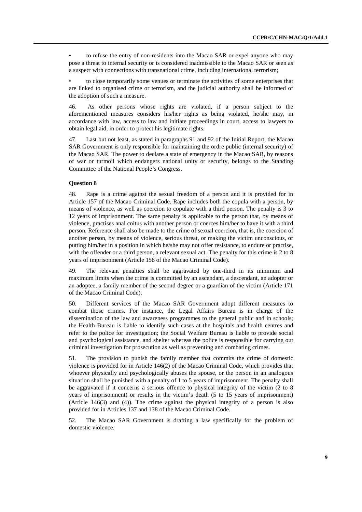• to refuse the entry of non-residents into the Macao SAR or expel anyone who may pose a threat to internal security or is considered inadmissible to the Macao SAR or seen as a suspect with connections with transnational crime, including international terrorism;

• to close temporarily some venues or terminate the activities of some enterprises that are linked to organised crime or terrorism, and the judicial authority shall be informed of the adoption of such a measure.

46. As other persons whose rights are violated, if a person subject to the aforementioned measures considers his/her rights as being violated, he/she may, in accordance with law, access to law and initiate proceedings in court, access to lawyers to obtain legal aid, in order to protect his legitimate rights.

47. Last but not least, as stated in paragraphs 91 and 92 of the Initial Report, the Macao SAR Government is only responsible for maintaining the ordre public (internal security) of the Macao SAR. The power to declare a state of emergency in the Macao SAR, by reasons of war or turmoil which endangers national unity or security, belongs to the Standing Committee of the National People's Congress.

# **Question 8**

48. Rape is a crime against the sexual freedom of a person and it is provided for in Article 157 of the Macao Criminal Code. Rape includes both the copula with a person, by means of violence, as well as coercion to copulate with a third person. The penalty is 3 to 12 years of imprisonment. The same penalty is applicable to the person that, by means of violence, practises anal coitus with another person or coerces him/her to have it with a third person. Reference shall also be made to the crime of sexual coercion, that is, the coercion of another person, by means of violence, serious threat, or making the victim unconscious, or putting him/her in a position in which he/she may not offer resistance, to endure or practise, with the offender or a third person, a relevant sexual act. The penalty for this crime is 2 to 8 years of imprisonment (Article 158 of the Macao Criminal Code).

49. The relevant penalties shall be aggravated by one-third in its minimum and maximum limits when the crime is committed by an ascendant, a descendant, an adopter or an adoptee, a family member of the second degree or a guardian of the victim (Article 171 of the Macao Criminal Code).

50. Different services of the Macao SAR Government adopt different measures to combat those crimes. For instance, the Legal Affairs Bureau is in charge of the dissemination of the law and awareness programmes to the general public and in schools; the Health Bureau is liable to identify such cases at the hospitals and health centres and refer to the police for investigation; the Social Welfare Bureau is liable to provide social and psychological assistance, and shelter whereas the police is responsible for carrying out criminal investigation for prosecution as well as preventing and combating crimes.

51. The provision to punish the family member that commits the crime of domestic violence is provided for in Article 146(2) of the Macao Criminal Code, which provides that whoever physically and psychologically abuses the spouse, or the person in an analogous situation shall be punished with a penalty of 1 to 5 years of imprisonment. The penalty shall be aggravated if it concerns a serious offence to physical integrity of the victim (2 to 8 years of imprisonment) or results in the victim's death (5 to 15 years of imprisonment) (Article 146(3) and (4)). The crime against the physical integrity of a person is also provided for in Articles 137 and 138 of the Macao Criminal Code.

52. The Macao SAR Government is drafting a law specifically for the problem of domestic violence.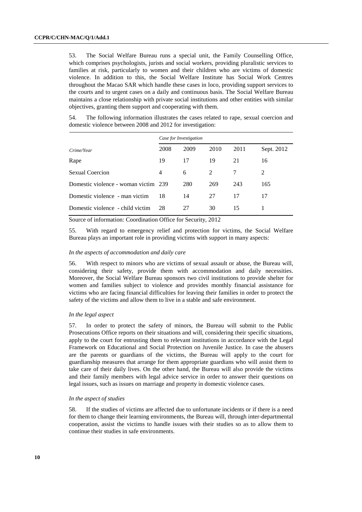53. The Social Welfare Bureau runs a special unit, the Family Counselling Office, which comprises psychologists, jurists and social workers, providing pluralistic services to families at risk, particularly to women and their children who are victims of domestic violence. In addition to this, the Social Welfare Institute has Social Work Centres throughout the Macao SAR which handle these cases in loco, providing support services to the courts and to urgent cases on a daily and continuous basis. The Social Welfare Bureau maintains a close relationship with private social institutions and other entities with similar objectives, granting them support and cooperating with them.

54. The following information illustrates the cases related to rape, sexual coercion and domestic violence between 2008 and 2012 for investigation:

|                                      | Case for Investigation |      |               |      |                |  |
|--------------------------------------|------------------------|------|---------------|------|----------------|--|
| Crime/Year                           | 2008                   | 2009 | 2010          | 2011 | Sept. 2012     |  |
| Rape                                 | 19                     | 17   | 19            | 21   | 16             |  |
| Sexual Coercion                      | 4                      | 6    | $\mathcal{L}$ | 7    | $\mathfrak{D}$ |  |
| Domestic violence - woman victim 239 |                        | 280  | 269           | 243  | 165            |  |
| Domestic violence - man victim       | 18                     | 14   | 27            | 17   | 17             |  |
| Domestic violence - child victim     | 28                     | 27   | 30            | 15   |                |  |

Source of information: Coordination Office for Security, 2012

55. With regard to emergency relief and protection for victims, the Social Welfare Bureau plays an important role in providing victims with support in many aspects:

### *In the aspects of accommodation and daily care*

56. With respect to minors who are victims of sexual assault or abuse, the Bureau will, considering their safety, provide them with accommodation and daily necessities. Moreover, the Social Welfare Bureau sponsors two civil institutions to provide shelter for women and families subject to violence and provides monthly financial assistance for victims who are facing financial difficulties for leaving their families in order to protect the safety of the victims and allow them to live in a stable and safe environment.

#### *In the legal aspect*

57. In order to protect the safety of minors, the Bureau will submit to the Public Prosecutions Office reports on their situations and will, considering their specific situations, apply to the court for entrusting them to relevant institutions in accordance with the Legal Framework on Educational and Social Protection on Juvenile Justice. In case the abusers are the parents or guardians of the victims, the Bureau will apply to the court for guardianship measures that arrange for them appropriate guardians who will assist them to take care of their daily lives. On the other hand, the Bureau will also provide the victims and their family members with legal advice service in order to answer their questions on legal issues, such as issues on marriage and property in domestic violence cases.

### *In the aspect of studies*

58. If the studies of victims are affected due to unfortunate incidents or if there is a need for them to change their learning environments, the Bureau will, through inter-departmental cooperation, assist the victims to handle issues with their studies so as to allow them to continue their studies in safe environments.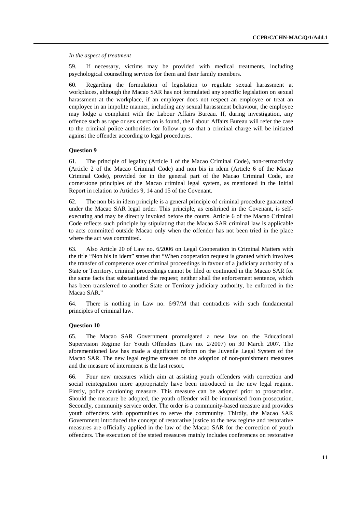*In the aspect of treatment* 

59. If necessary, victims may be provided with medical treatments, including psychological counselling services for them and their family members.

60. Regarding the formulation of legislation to regulate sexual harassment at workplaces, although the Macao SAR has not formulated any specific legislation on sexual harassment at the workplace, if an employer does not respect an employee or treat an employee in an impolite manner, including any sexual harassment behaviour, the employee may lodge a complaint with the Labour Affairs Bureau. If, during investigation, any offence such as rape or sex coercion is found, the Labour Affairs Bureau will refer the case to the criminal police authorities for follow-up so that a criminal charge will be initiated against the offender according to legal procedures.

## **Question 9**

61. The principle of legality (Article 1 of the Macao Criminal Code), non-retroactivity (Article 2 of the Macao Criminal Code) and non bis in idem (Article 6 of the Macao Criminal Code), provided for in the general part of the Macao Criminal Code, are cornerstone principles of the Macao criminal legal system, as mentioned in the Initial Report in relation to Articles 9, 14 and 15 of the Covenant.

62. The non bis in idem principle is a general principle of criminal procedure guaranteed under the Macao SAR legal order. This principle, as enshrined in the Covenant, is selfexecuting and may be directly invoked before the courts. Article 6 of the Macao Criminal Code reflects such principle by stipulating that the Macao SAR criminal law is applicable to acts committed outside Macao only when the offender has not been tried in the place where the act was committed.

63. Also Article 20 of Law no. 6/2006 on Legal Cooperation in Criminal Matters with the title "Non bis in idem" states that "When cooperation request is granted which involves the transfer of competence over criminal proceedings in favour of a judiciary authority of a State or Territory, criminal proceedings cannot be filed or continued in the Macao SAR for the same facts that substantiated the request; neither shall the enforcement sentence, which has been transferred to another State or Territory judiciary authority, be enforced in the Macao SAR."

64. There is nothing in Law no. 6/97/M that contradicts with such fundamental principles of criminal law.

#### **Question 10**

65. The Macao SAR Government promulgated a new law on the Educational Supervision Regime for Youth Offenders (Law no. 2/2007) on 30 March 2007. The aforementioned law has made a significant reform on the Juvenile Legal System of the Macao SAR. The new legal regime stresses on the adoption of non-punishment measures and the measure of internment is the last resort.

66. Four new measures which aim at assisting youth offenders with correction and social reintegration more appropriately have been introduced in the new legal regime. Firstly, police cautioning measure. This measure can be adopted prior to prosecution. Should the measure be adopted, the youth offender will be immunised from prosecution. Secondly, community service order. The order is a community-based measure and provides youth offenders with opportunities to serve the community. Thirdly, the Macao SAR Government introduced the concept of restorative justice to the new regime and restorative measures are officially applied in the law of the Macao SAR for the correction of youth offenders. The execution of the stated measures mainly includes conferences on restorative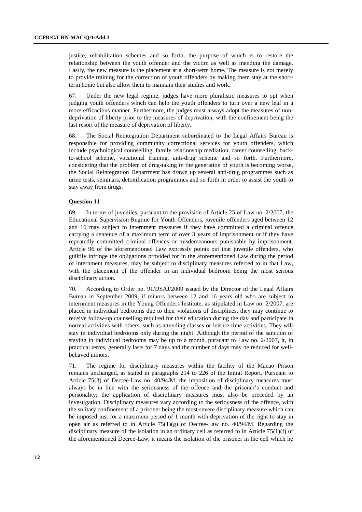justice, rehabilitation schemes and so forth, the purpose of which is to restore the relationship between the youth offender and the victim as well as mending the damage. Lastly, the new measure is the placement at a short-term home. The measure is not merely to provide training for the correction of youth offenders by making them stay at the shortterm home but also allow them to maintain their studies and work.

67. Under the new legal regime, judges have more pluralistic measures to opt when judging youth offenders which can help the youth offenders to turn over a new leaf in a more efficacious manner. Furthermore, the judges must always adopt the measures of nondeprivation of liberty prior to the measures of deprivation, with the confinement being the last resort of the measure of deprivation of liberty.

68. The Social Reintegration Department subordinated to the Legal Affairs Bureau is responsible for providing community correctional services for youth offenders, which include psychological counselling, family relationship mediation, career counselling, backto-school scheme, vocational training, anti-drug scheme and so forth. Furthermore, considering that the problem of drug-taking in the generation of youth is becoming worse, the Social Reintegration Department has drawn up several anti-drug programmes such as urine tests, seminars, detoxification programmes and so forth in order to assist the youth to stay away from drugs.

## **Question 11**

69. In terms of juveniles, pursuant to the provision of Article 25 of Law no. 2/2007, the Educational Supervision Regime for Youth Offenders, juvenile offenders aged between 12 and 16 may subject to internment measures if they have committed a criminal offence carrying a sentence of a maximum term of over 3 years of imprisonment or if they have repeatedly committed criminal offences or misdemeanours punishable by imprisonment. Article 96 of the aforementioned Law expressly points out that juvenile offenders, who guiltily infringe the obligations provided for in the aforementioned Law during the period of internment measures, may be subject to disciplinary measures referred to in that Law, with the placement of the offender in an individual bedroom being the most serious disciplinary action.

70. According to Order no. 91/DSAJ/2009 issued by the Director of the Legal Affairs Bureau in September 2009, if minors between 12 and 16 years old who are subject to internment measures in the Young Offenders Institute, as stipulated in Law no. 2/2007, are placed in individual bedrooms due to their violations of disciplines, they may continue to receive follow-up counselling required for their education during the day and participate in normal activities with others, such as attending classes or leisure-time activities. They will stay in individual bedrooms only during the night. Although the period of the sanction of staying in individual bedrooms may be up to a month, pursuant to Law no. 2/2007, it, in practical terms, generally lasts for 7 days and the number of days may be reduced for wellbehaved minors.

71. The regime for disciplinary measures within the facility of the Macao Prison remains unchanged, as stated in paragraphs 214 to 226 of the Initial Report. Pursuant to Article 75(3) of Decree-Law no. 40/94/M, the imposition of disciplinary measures must always be in line with the seriousness of the offence and the prisoner's conduct and personality; the application of disciplinary measures must also be preceded by an investigation. Disciplinary measures vary according to the seriousness of the offence, with the solitary confinement of a prisoner being the most severe disciplinary measure which can be imposed just for a maximum period of 1 month with deprivation of the right to stay in open air as referred to in Article  $75(1)(g)$  of Decree-Law no. 40/94/M. Regarding the disciplinary measure of the isolation in an ordinary cell as referred to in Article 75(1)(f) of the aforementioned Decree-Law, it means the isolation of the prisoner in the cell which he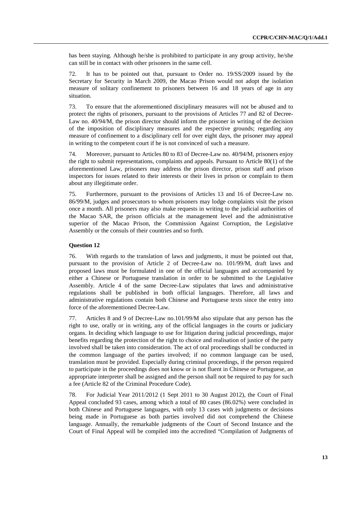has been staying. Although he/she is prohibited to participate in any group activity, he/she can still be in contact with other prisoners in the same cell.

72. It has to be pointed out that, pursuant to Order no. 19/SS/2009 issued by the Secretary for Security in March 2009, the Macao Prison would not adopt the isolation measure of solitary confinement to prisoners between 16 and 18 years of age in any situation.

73. To ensure that the aforementioned disciplinary measures will not be abused and to protect the rights of prisoners, pursuant to the provisions of Articles 77 and 82 of Decree-Law no. 40/94/M, the prison director should inform the prisoner in writing of the decision of the imposition of disciplinary measures and the respective grounds; regarding any measure of confinement to a disciplinary cell for over eight days, the prisoner may appeal in writing to the competent court if he is not convinced of such a measure.

74. Moreover, pursuant to Articles 80 to 83 of Decree-Law no. 40/94/M, prisoners enjoy the right to submit representations, complaints and appeals. Pursuant to Article 80(1) of the aforementioned Law, prisoners may address the prison director, prison staff and prison inspectors for issues related to their interests or their lives in prison or complain to them about any illegitimate order.

75. Furthermore, pursuant to the provisions of Articles 13 and 16 of Decree-Law no. 86/99/M, judges and prosecutors to whom prisoners may lodge complaints visit the prison once a month. All prisoners may also make requests in writing to the judicial authorities of the Macao SAR, the prison officials at the management level and the administrative superior of the Macao Prison, the Commission Against Corruption, the Legislative Assembly or the consuls of their countries and so forth.

## **Question 12**

76. With regards to the translation of laws and judgments, it must be pointed out that, pursuant to the provision of Article 2 of Decree-Law no. 101/99/M, draft laws and proposed laws must be formulated in one of the official languages and accompanied by either a Chinese or Portuguese translation in order to be submitted to the Legislative Assembly. Article 4 of the same Decree-Law stipulates that laws and administrative regulations shall be published in both official languages. Therefore, all laws and administrative regulations contain both Chinese and Portuguese texts since the entry into force of the aforementioned Decree-Law.

77. Articles 8 and 9 of Decree-Law no.101/99/M also stipulate that any person has the right to use, orally or in writing, any of the official languages in the courts or judiciary organs. In deciding which language to use for litigation during judicial proceedings, major benefits regarding the protection of the right to choice and realisation of justice of the party involved shall be taken into consideration. The act of oral proceedings shall be conducted in the common language of the parties involved; if no common language can be used, translation must be provided. Especially during criminal proceedings, if the person required to participate in the proceedings does not know or is not fluent in Chinese or Portuguese, an appropriate interpreter shall be assigned and the person shall not be required to pay for such a fee (Article 82 of the Criminal Procedure Code).

78. For Judicial Year 2011/2012 (1 Sept 2011 to 30 August 2012), the Court of Final Appeal concluded 93 cases, among which a total of 80 cases (86.02%) were concluded in both Chinese and Portuguese languages, with only 13 cases with judgments or decisions being made in Portuguese as both parties involved did not comprehend the Chinese language. Annually, the remarkable judgments of the Court of Second Instance and the Court of Final Appeal will be compiled into the accredited "Compilation of Judgments of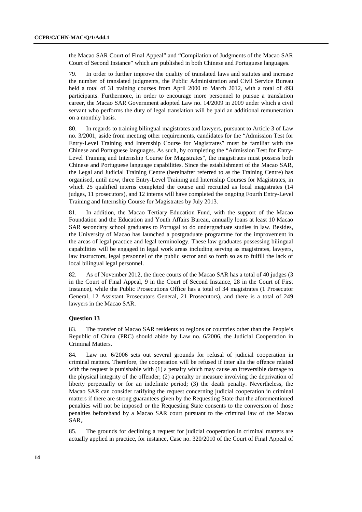the Macao SAR Court of Final Appeal" and "Compilation of Judgments of the Macao SAR Court of Second Instance" which are published in both Chinese and Portuguese languages.

79. In order to further improve the quality of translated laws and statutes and increase the number of translated judgments, the Public Administration and Civil Service Bureau held a total of 31 training courses from April 2000 to March 2012, with a total of 493 participants. Furthermore, in order to encourage more personnel to pursue a translation career, the Macao SAR Government adopted Law no. 14/2009 in 2009 under which a civil servant who performs the duty of legal translation will be paid an additional remuneration on a monthly basis.

80. In regards to training bilingual magistrates and lawyers, pursuant to Article 3 of Law no. 3/2001, aside from meeting other requirements, candidates for the "Admission Test for Entry-Level Training and Internship Course for Magistrates" must be familiar with the Chinese and Portuguese languages. As such, by completing the "Admission Test for Entry-Level Training and Internship Course for Magistrates", the magistrates must possess both Chinese and Portuguese language capabilities. Since the establishment of the Macao SAR, the Legal and Judicial Training Centre (hereinafter referred to as the Training Centre) has organised, until now, three Entry-Level Training and Internship Courses for Magistrates, in which 25 qualified interns completed the course and recruited as local magistrates (14 judges, 11 prosecutors), and 12 interns will have completed the ongoing Fourth Entry-Level Training and Internship Course for Magistrates by July 2013.

81. In addition, the Macao Tertiary Education Fund, with the support of the Macao Foundation and the Education and Youth Affairs Bureau, annually loans at least 10 Macao SAR secondary school graduates to Portugal to do undergraduate studies in law. Besides, the University of Macao has launched a postgraduate programme for the improvement in the areas of legal practice and legal terminology. These law graduates possessing bilingual capabilities will be engaged in legal work areas including serving as magistrates, lawyers, law instructors, legal personnel of the public sector and so forth so as to fulfill the lack of local bilingual legal personnel.

82. As of November 2012, the three courts of the Macao SAR has a total of 40 judges (3 in the Court of Final Appeal, 9 in the Court of Second Instance, 28 in the Court of First Instance), while the Public Prosecutions Office has a total of 34 magistrates (1 Prosecutor General, 12 Assistant Prosecutors General, 21 Prosecutors), and there is a total of 249 lawyers in the Macao SAR.

# **Question 13**

83. The transfer of Macao SAR residents to regions or countries other than the People's Republic of China (PRC) should abide by Law no. 6/2006, the Judicial Cooperation in Criminal Matters.

84. Law no. 6/2006 sets out several grounds for refusal of judicial cooperation in criminal matters. Therefore, the cooperation will be refused if inter alia the offence related with the request is punishable with (1) a penalty which may cause an irreversible damage to the physical integrity of the offender; (2) a penalty or measure involving the deprivation of liberty perpetually or for an indefinite period; (3) the death penalty. Nevertheless, the Macao SAR can consider ratifying the request concerning judicial cooperation in criminal matters if there are strong guarantees given by the Requesting State that the aforementioned penalties will not be imposed or the Requesting State consents to the conversion of those penalties beforehand by a Macao SAR court pursuant to the criminal law of the Macao SAR,.

85. The grounds for declining a request for judicial cooperation in criminal matters are actually applied in practice, for instance, Case no. 320/2010 of the Court of Final Appeal of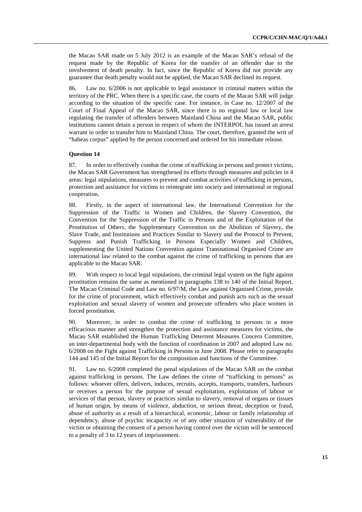the Macao SAR made on 5 July 2012 is an example of the Macao SAR's refusal of the request made by the Republic of Korea for the transfer of an offender due to the involvement of death penalty. In fact, since the Republic of Korea did not provide any guarantee that death penalty would not be applied, the Macao SAR declined its request.

86. Law no. 6/2006 is not applicable to legal assistance in criminal matters within the territory of the PRC. When there is a specific case, the courts of the Macao SAR will judge according to the situation of the specific case. For instance, in Case no. 12/2007 of the Court of Final Appeal of the Macao SAR, since there is no regional law or local law regulating the transfer of offenders between Mainland China and the Macao SAR, public institutions cannot detain a person in respect of whom the INTERPOL has issued an arrest warrant in order to transfer him to Mainland China. The court, therefore, granted the writ of "habeas corpus" applied by the person concerned and ordered for his immediate release.

## **Question 14**

87. In order to effectively combat the crime of trafficking in persons and protect victims, the Macao SAR Government has strengthened its efforts through measures and policies in 4 areas: legal stipulations, measures to prevent and combat activities of trafficking in persons, protection and assistance for victims to reintegrate into society and international or regional cooperation.

88. Firstly, in the aspect of international law, the International Convention for the Suppression of the Traffic in Women and Children, the Slavery Convention, the Convention for the Suppression of the Traffic in Persons and of the Exploitation of the Prostitution of Others, the Supplementary Convention on the Abolition of Slavery, the Slave Trade, and Institutions and Practices Similar to Slavery and the Protocol to Prevent, Suppress and Punish Trafficking in Persons Especially Women and Children, supplementing the United Nations Convention against Transnational Organised Crime are international law related to the combat against the crime of trafficking in persons that are applicable to the Macao SAR.

89. With respect to local legal stipulations, the criminal legal system on the fight against prostitution remains the same as mentioned in paragraphs 138 to 140 of the Initial Report. The Macao Criminal Code and Law no. 6/97/M, the Law against Organised Crime, provide for the crime of procurement, which effectively combat and punish acts such as the sexual exploitation and sexual slavery of women and prosecute offenders who place women in forced prostitution.

90. Moreover, in order to combat the crime of trafficking in persons in a more efficacious manner and strengthen the protection and assistance measures for victims, the Macao SAR established the Human Trafficking Deterrent Measures Concern Committee, an inter-departmental body with the function of coordination in 2007 and adopted Law no. 6/2008 on the Fight against Trafficking in Persons in June 2008. Please refer to paragraphs 144 and 145 of the Initial Report for the composition and functions of the Committee.

91. Law no. 6/2008 completed the penal stipulations of the Macao SAR on the combat against trafficking in persons. The Law defines the crime of "trafficking in persons" as follows: whoever offers, delivers, induces, recruits, accepts, transports, transfers, harbours or receives a person for the purpose of sexual exploitation, exploitation of labour or services of that person, slavery or practices similar to slavery, removal of organs or tissues of human origin, by means of violence, abduction, or serious threat, deception or fraud, abuse of authority as a result of a hierarchical, economic, labour or family relationship of dependency, abuse of psychic incapacity or of any other situation of vulnerability of the victim or obtaining the consent of a person having control over the victim will be sentenced to a penalty of 3 to 12 years of imprisonment.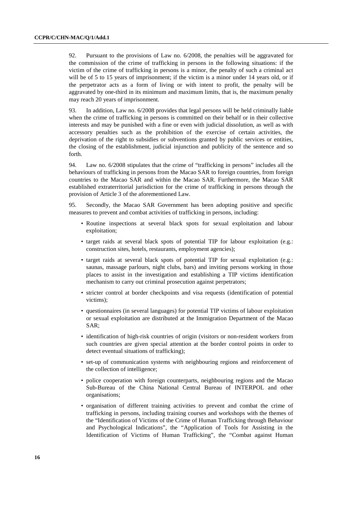92. Pursuant to the provisions of Law no. 6/2008, the penalties will be aggravated for the commission of the crime of trafficking in persons in the following situations: if the victim of the crime of trafficking in persons is a minor, the penalty of such a criminal act will be of 5 to 15 years of imprisonment; if the victim is a minor under 14 years old, or if the perpetrator acts as a form of living or with intent to profit, the penalty will be aggravated by one-third in its minimum and maximum limits, that is, the maximum penalty may reach 20 years of imprisonment.

93. In addition, Law no. 6/2008 provides that legal persons will be held criminally liable when the crime of trafficking in persons is committed on their behalf or in their collective interests and may be punished with a fine or even with judicial dissolution, as well as with accessory penalties such as the prohibition of the exercise of certain activities, the deprivation of the right to subsidies or subventions granted by public services or entities, the closing of the establishment, judicial injunction and publicity of the sentence and so forth.

94. Law no. 6/2008 stipulates that the crime of "trafficking in persons" includes all the behaviours of trafficking in persons from the Macao SAR to foreign countries, from foreign countries to the Macao SAR and within the Macao SAR. Furthermore, the Macao SAR established extraterritorial jurisdiction for the crime of trafficking in persons through the provision of Article 3 of the aforementioned Law.

95. Secondly, the Macao SAR Government has been adopting positive and specific measures to prevent and combat activities of trafficking in persons, including:

- Routine inspections at several black spots for sexual exploitation and labour exploitation;
- target raids at several black spots of potential TIP for labour exploitation (e.g.: construction sites, hotels, restaurants, employment agencies);
- target raids at several black spots of potential TIP for sexual exploitation (e.g.: saunas, massage parlours, night clubs, bars) and inviting persons working in those places to assist in the investigation and establishing a TIP victims identification mechanism to carry out criminal prosecution against perpetrators;
- stricter control at border checkpoints and visa requests (identification of potential victims);
- questionnaires (in several languages) for potential TIP victims of labour exploitation or sexual exploitation are distributed at the Immigration Department of the Macao SAR;
- identification of high-risk countries of origin (visitors or non-resident workers from such countries are given special attention at the border control points in order to detect eventual situations of trafficking);
- set-up of communication systems with neighbouring regions and reinforcement of the collection of intelligence;
- police cooperation with foreign counterparts, neighbouring regions and the Macao Sub-Bureau of the China National Central Bureau of INTERPOL and other organisations;
- organisation of different training activities to prevent and combat the crime of trafficking in persons, including training courses and workshops with the themes of the "Identification of Victims of the Crime of Human Trafficking through Behaviour and Psychological Indications", the "Application of Tools for Assisting in the Identification of Victims of Human Trafficking", the "Combat against Human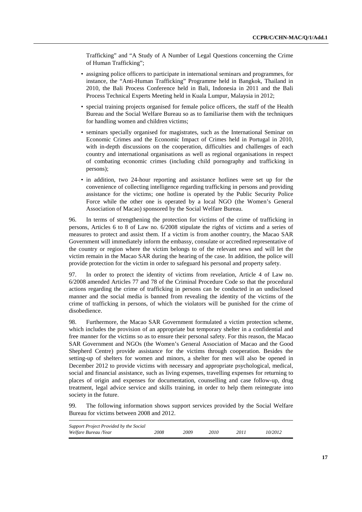Trafficking" and "A Study of A Number of Legal Questions concerning the Crime of Human Trafficking";

- assigning police officers to participate in international seminars and programmes, for instance, the "Anti-Human Trafficking" Programme held in Bangkok, Thailand in 2010, the Bali Process Conference held in Bali, Indonesia in 2011 and the Bali Process Technical Experts Meeting held in Kuala Lumpur, Malaysia in 2012;
- special training projects organised for female police officers, the staff of the Health Bureau and the Social Welfare Bureau so as to familiarise them with the techniques for handling women and children victims;
- seminars specially organised for magistrates, such as the International Seminar on Economic Crimes and the Economic Impact of Crimes held in Portugal in 2010, with in-depth discussions on the cooperation, difficulties and challenges of each country and international organisations as well as regional organisations in respect of combating economic crimes (including child pornography and trafficking in persons);
- in addition, two 24-hour reporting and assistance hotlines were set up for the convenience of collecting intelligence regarding trafficking in persons and providing assistance for the victims; one hotline is operated by the Public Security Police Force while the other one is operated by a local NGO (the Women's General Association of Macao) sponsored by the Social Welfare Bureau.

96. In terms of strengthening the protection for victims of the crime of trafficking in persons, Articles 6 to 8 of Law no. 6/2008 stipulate the rights of victims and a series of measures to protect and assist them. If a victim is from another country, the Macao SAR Government will immediately inform the embassy, consulate or accredited representative of the country or region where the victim belongs to of the relevant news and will let the victim remain in the Macao SAR during the hearing of the case. In addition, the police will provide protection for the victim in order to safeguard his personal and property safety.

97. In order to protect the identity of victims from revelation, Article 4 of Law no. 6/2008 amended Articles 77 and 78 of the Criminal Procedure Code so that the procedural actions regarding the crime of trafficking in persons can be conducted in an undisclosed manner and the social media is banned from revealing the identity of the victims of the crime of trafficking in persons, of which the violators will be punished for the crime of disobedience.

98. Furthermore, the Macao SAR Government formulated a victim protection scheme, which includes the provision of an appropriate but temporary shelter in a confidential and free manner for the victims so as to ensure their personal safety. For this reason, the Macao SAR Government and NGOs (the Women's General Association of Macao and the Good Shepherd Centre) provide assistance for the victims through cooperation. Besides the setting-up of shelters for women and minors, a shelter for men will also be opened in December 2012 to provide victims with necessary and appropriate psychological, medical, social and financial assistance, such as living expenses, travelling expenses for returning to places of origin and expenses for documentation, counselling and case follow-up, drug treatment, legal advice service and skills training, in order to help them reintegrate into society in the future.

99. The following information shows support services provided by the Social Welfare Bureau for victims between 2008 and 2012.

| Support Project Provided by the Social |      |      |      |      |         |
|----------------------------------------|------|------|------|------|---------|
| Welfare Bureau /Year                   | 2008 | 2009 | 2010 | 2011 | 10/2012 |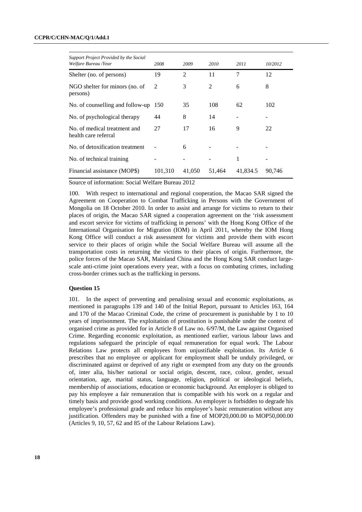## **CCPR/C/CHN-MAC/Q/1/Add.1**

| Support Project Provided by the Social               |         |                |        |          |         |
|------------------------------------------------------|---------|----------------|--------|----------|---------|
| Welfare Bureau /Year                                 | 2008    | 2009           | 2010   | 2011     | 10/2012 |
| Shelter (no. of persons)                             | 19      | $\overline{2}$ | 11     | 7        | 12      |
| NGO shelter for minors (no. of<br>persons)           | 2       | 3              | 2      | 6        | 8       |
| No. of counselling and follow-up                     | 150     | 35             | 108    | 62       | 102     |
| No. of psychological therapy                         | 44      | 8              | 14     |          |         |
| No. of medical treatment and<br>health care referral | 27      | 17             | 16     | 9        | 22      |
| No. of detoxification treatment                      |         | 6              |        |          |         |
| No. of technical training                            |         |                |        | 1        |         |
| Financial assistance (MOP\$)                         | 101,310 | 41,050         | 51,464 | 41,834.5 | 90.746  |

Source of information: Social Welfare Bureau 2012

100. With respect to international and regional cooperation, the Macao SAR signed the Agreement on Cooperation to Combat Trafficking in Persons with the Government of Mongolia on 18 October 2010. In order to assist and arrange for victims to return to their places of origin, the Macao SAR signed a cooperation agreement on the 'risk assessment and escort service for victims of trafficking in persons' with the Hong Kong Office of the International Organisation for Migration (IOM) in April 2011, whereby the IOM Hong Kong Office will conduct a risk assessment for victims and provide them with escort service to their places of origin while the Social Welfare Bureau will assume all the transportation costs in returning the victims to their places of origin. Furthermore, the police forces of the Macao SAR, Mainland China and the Hong Kong SAR conduct largescale anti-crime joint operations every year, with a focus on combating crimes, including cross-border crimes such as the trafficking in persons.

# **Question 15**

101. In the aspect of preventing and penalising sexual and economic exploitations, as mentioned in paragraphs 139 and 140 of the Initial Report, pursuant to Articles 163, 164 and 170 of the Macao Criminal Code, the crime of procurement is punishable by 1 to 10 years of imprisonment. The exploitation of prostitution is punishable under the context of organised crime as provided for in Article 8 of Law no. 6/97/M, the Law against Organised Crime. Regarding economic exploitation, as mentioned earlier, various labour laws and regulations safeguard the principle of equal remuneration for equal work. The Labour Relations Law protects all employees from unjustifiable exploitation. Its Article 6 prescribes that no employee or applicant for employment shall be unduly privileged, or discriminated against or deprived of any right or exempted from any duty on the grounds of, inter alia, his/her national or social origin, descent, race, colour, gender, sexual orientation, age, marital status, language, religion, political or ideological beliefs, membership of associations, education or economic background. An employer is obliged to pay his employee a fair remuneration that is compatible with his work on a regular and timely basis and provide good working conditions. An employer is forbidden to degrade his employee's professional grade and reduce his employee's basic remuneration without any justification. Offenders may be punished with a fine of MOP20,000.00 to MOP50,000.00 (Articles 9, 10, 57, 62 and 85 of the Labour Relations Law).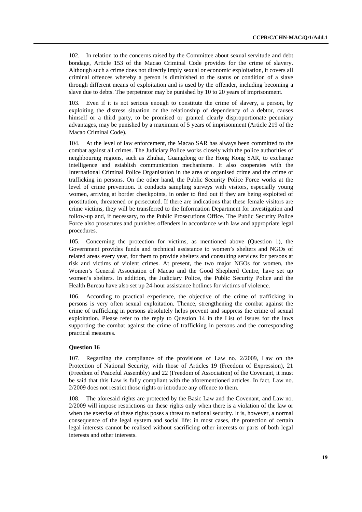102. In relation to the concerns raised by the Committee about sexual servitude and debt bondage, Article 153 of the Macao Criminal Code provides for the crime of slavery. Although such a crime does not directly imply sexual or economic exploitation, it covers all criminal offences whereby a person is diminished to the status or condition of a slave through different means of exploitation and is used by the offender, including becoming a slave due to debts. The perpetrator may be punished by 10 to 20 years of imprisonment.

103. Even if it is not serious enough to constitute the crime of slavery, a person, by exploiting the distress situation or the relationship of dependency of a debtor, causes himself or a third party, to be promised or granted clearly disproportionate pecuniary advantages, may be punished by a maximum of 5 years of imprisonment (Article 219 of the Macao Criminal Code).

104. At the level of law enforcement, the Macao SAR has always been committed to the combat against all crimes. The Judiciary Police works closely with the police authorities of neighbouring regions, such as Zhuhai, Guangdong or the Hong Kong SAR, to exchange intelligence and establish communication mechanisms. It also cooperates with the International Criminal Police Organisation in the area of organised crime and the crime of trafficking in persons. On the other hand, the Public Security Police Force works at the level of crime prevention. It conducts sampling surveys with visitors, especially young women, arriving at border checkpoints, in order to find out if they are being exploited of prostitution, threatened or persecuted. If there are indications that these female visitors are crime victims, they will be transferred to the Information Department for investigation and follow-up and, if necessary, to the Public Prosecutions Office. The Public Security Police Force also prosecutes and punishes offenders in accordance with law and appropriate legal procedures.

105. Concerning the protection for victims, as mentioned above (Question 1), the Government provides funds and technical assistance to women's shelters and NGOs of related areas every year, for them to provide shelters and consulting services for persons at risk and victims of violent crimes. At present, the two major NGOs for women, the Women's General Association of Macao and the Good Shepherd Centre, have set up women's shelters. In addition, the Judiciary Police, the Public Security Police and the Health Bureau have also set up 24-hour assistance hotlines for victims of violence.

106. According to practical experience, the objective of the crime of trafficking in persons is very often sexual exploitation. Thence, strengthening the combat against the crime of trafficking in persons absolutely helps prevent and suppress the crime of sexual exploitation. Please refer to the reply to Question 14 in the List of Issues for the laws supporting the combat against the crime of trafficking in persons and the corresponding practical measures.

# **Question 16**

107. Regarding the compliance of the provisions of Law no. 2/2009, Law on the Protection of National Security, with those of Articles 19 (Freedom of Expression), 21 (Freedom of Peaceful Assembly) and 22 (Freedom of Association) of the Covenant, it must be said that this Law is fully compliant with the aforementioned articles. In fact, Law no. 2/2009 does not restrict those rights or introduce any offence to them.

108. The aforesaid rights are protected by the Basic Law and the Covenant, and Law no. 2/2009 will impose restrictions on these rights only when there is a violation of the law or when the exercise of these rights poses a threat to national security. It is, however, a normal consequence of the legal system and social life: in most cases, the protection of certain legal interests cannot be realised without sacrificing other interests or parts of both legal interests and other interests.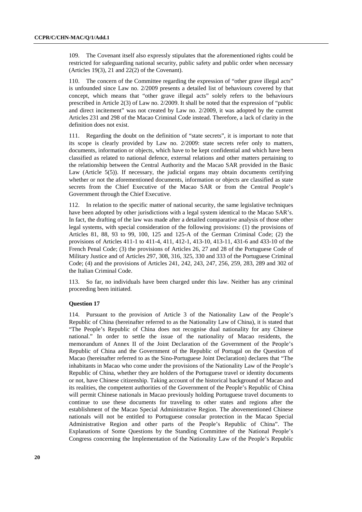109. The Covenant itself also expressly stipulates that the aforementioned rights could be restricted for safeguarding national security, public safety and public order when necessary (Articles 19(3), 21 and 22(2) of the Covenant).

110. The concern of the Committee regarding the expression of "other grave illegal acts" is unfounded since Law no. 2/2009 presents a detailed list of behaviours covered by that concept, which means that "other grave illegal acts" solely refers to the behaviours prescribed in Article 2(3) of Law no. 2/2009. It shall be noted that the expression of "public and direct incitement" was not created by Law no. 2/2009, it was adopted by the current Articles 231 and 298 of the Macao Criminal Code instead. Therefore, a lack of clarity in the definition does not exist.

111. Regarding the doubt on the definition of "state secrets", it is important to note that its scope is clearly provided by Law no. 2/2009: state secrets refer only to matters, documents, information or objects, which have to be kept confidential and which have been classified as related to national defence, external relations and other matters pertaining to the relationship between the Central Authority and the Macao SAR provided in the Basic Law (Article 5(5)). If necessary, the judicial organs may obtain documents certifying whether or not the aforementioned documents, information or objects are classified as state secrets from the Chief Executive of the Macao SAR or from the Central People's Government through the Chief Executive.

112. In relation to the specific matter of national security, the same legislative techniques have been adopted by other jurisdictions with a legal system identical to the Macao SAR's. In fact, the drafting of the law was made after a detailed comparative analysis of those other legal systems, with special consideration of the following provisions: (1) the provisions of Articles 81, 88, 93 to 99, 100, 125 and 125-A of the German Criminal Code; (2) the provisions of Articles 411-1 to 411-4, 411, 412-1, 413-10, 413-11, 431-6 and 433-10 of the French Penal Code; (3) the provisions of Articles 26, 27 and 28 of the Portuguese Code of Military Justice and of Articles 297, 308, 316, 325, 330 and 333 of the Portuguese Criminal Code; (4) and the provisions of Articles 241, 242, 243, 247, 256, 259, 283, 289 and 302 of the Italian Criminal Code.

113. So far, no individuals have been charged under this law. Neither has any criminal proceeding been initiated.

#### **Question 17**

114. Pursuant to the provision of Article 3 of the Nationality Law of the People's Republic of China (hereinafter referred to as the Nationality Law of China), it is stated that "The People's Republic of China does not recognise dual nationality for any Chinese national." In order to settle the issue of the nationality of Macao residents, the memorandum of Annex II of the Joint Declaration of the Government of the People's Republic of China and the Government of the Republic of Portugal on the Question of Macao (hereinafter referred to as the Sino-Portuguese Joint Declaration) declares that "The inhabitants in Macao who come under the provisions of the Nationality Law of the People's Republic of China, whether they are holders of the Portuguese travel or identity documents or not, have Chinese citizenship. Taking account of the historical background of Macao and its realities, the competent authorities of the Government of the People's Republic of China will permit Chinese nationals in Macao previously holding Portuguese travel documents to continue to use these documents for traveling to other states and regions after the establishment of the Macao Special Administrative Region. The abovementioned Chinese nationals will not be entitled to Portuguese consular protection in the Macao Special Administrative Region and other parts of the People's Republic of China". The Explanations of Some Questions by the Standing Committee of the National People's Congress concerning the Implementation of the Nationality Law of the People's Republic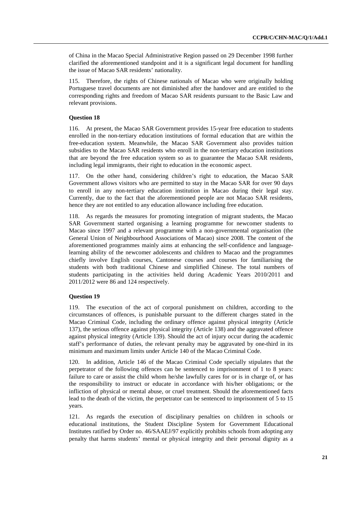of China in the Macao Special Administrative Region passed on 29 December 1998 further clarified the aforementioned standpoint and it is a significant legal document for handling the issue of Macao SAR residents' nationality.

115. Therefore, the rights of Chinese nationals of Macao who were originally holding Portuguese travel documents are not diminished after the handover and are entitled to the corresponding rights and freedom of Macao SAR residents pursuant to the Basic Law and relevant provisions.

## **Question 18**

116. At present, the Macao SAR Government provides 15-year free education to students enrolled in the non-tertiary education institutions of formal education that are within the free-education system. Meanwhile, the Macao SAR Government also provides tuition subsidies to the Macao SAR residents who enroll in the non-tertiary education institutions that are beyond the free education system so as to guarantee the Macao SAR residents, including legal immigrants, their right to education in the economic aspect.

117. On the other hand, considering children's right to education, the Macao SAR Government allows visitors who are permitted to stay in the Macao SAR for over 90 days to enroll in any non-tertiary education institution in Macao during their legal stay. Currently, due to the fact that the aforementioned people are not Macao SAR residents, hence they are not entitled to any education allowance including free education.

118. As regards the measures for promoting integration of migrant students, the Macao SAR Government started organising a learning programme for newcomer students to Macao since 1997 and a relevant programme with a non-governmental organisation (the General Union of Neighbourhood Associations of Macao) since 2008. The content of the aforementioned programmes mainly aims at enhancing the self-confidence and languagelearning ability of the newcomer adolescents and children to Macao and the programmes chiefly involve English courses, Cantonese courses and courses for familiarising the students with both traditional Chinese and simplified Chinese. The total numbers of students participating in the activities held during Academic Years 2010/2011 and 2011/2012 were 86 and 124 respectively.

## **Question 19**

119. The execution of the act of corporal punishment on children, according to the circumstances of offences, is punishable pursuant to the different charges stated in the Macao Criminal Code, including the ordinary offence against physical integrity (Article 137), the serious offence against physical integrity (Article 138) and the aggravated offence against physical integrity (Article 139). Should the act of injury occur during the academic staff's performance of duties, the relevant penalty may be aggravated by one-third in its minimum and maximum limits under Article 140 of the Macao Criminal Code.

120. In addition, Article 146 of the Macao Criminal Code specially stipulates that the perpetrator of the following offences can be sentenced to imprisonment of 1 to 8 years: failure to care or assist the child whom he/she lawfully cares for or is in charge of, or has the responsibility to instruct or educate in accordance with his/her obligations; or the infliction of physical or mental abuse, or cruel treatment. Should the aforementioned facts lead to the death of the victim, the perpetrator can be sentenced to imprisonment of 5 to 15 years.

121. As regards the execution of disciplinary penalties on children in schools or educational institutions, the Student Discipline System for Government Educational Institutes ratified by Order no. 46/SAAEJ/97 explicitly prohibits schools from adopting any penalty that harms students' mental or physical integrity and their personal dignity as a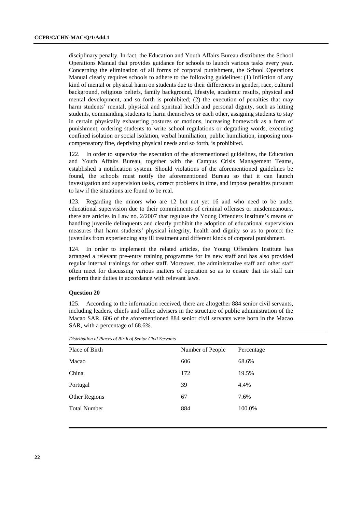disciplinary penalty. In fact, the Education and Youth Affairs Bureau distributes the School Operations Manual that provides guidance for schools to launch various tasks every year. Concerning the elimination of all forms of corporal punishment, the School Operations Manual clearly requires schools to adhere to the following guidelines: (1) Infliction of any kind of mental or physical harm on students due to their differences in gender, race, cultural background, religious beliefs, family background, lifestyle, academic results, physical and mental development, and so forth is prohibited; (2) the execution of penalties that may harm students' mental, physical and spiritual health and personal dignity, such as hitting students, commanding students to harm themselves or each other, assigning students to stay in certain physically exhausting postures or motions, increasing homework as a form of punishment, ordering students to write school regulations or degrading words, executing confined isolation or social isolation, verbal humiliation, public humiliation, imposing noncompensatory fine, depriving physical needs and so forth, is prohibited.

122. In order to supervise the execution of the aforementioned guidelines, the Education and Youth Affairs Bureau, together with the Campus Crisis Management Teams, established a notification system. Should violations of the aforementioned guidelines be found, the schools must notify the aforementioned Bureau so that it can launch investigation and supervision tasks, correct problems in time, and impose penalties pursuant to law if the situations are found to be real.

123. Regarding the minors who are 12 but not yet 16 and who need to be under educational supervision due to their commitments of criminal offenses or misdemeanours, there are articles in Law no. 2/2007 that regulate the Young Offenders Institute's means of handling juvenile delinquents and clearly prohibit the adoption of educational supervision measures that harm students' physical integrity, health and dignity so as to protect the juveniles from experiencing any ill treatment and different kinds of corporal punishment.

124. In order to implement the related articles, the Young Offenders Institute has arranged a relevant pre-entry training programme for its new staff and has also provided regular internal trainings for other staff. Moreover, the administrative staff and other staff often meet for discussing various matters of operation so as to ensure that its staff can perform their duties in accordance with relevant laws.

# **Question 20**

125. According to the information received, there are altogether 884 senior civil servants, including leaders, chiefs and office advisers in the structure of public administration of the Macao SAR. 606 of the aforementioned 884 senior civil servants were born in the Macao SAR, with a percentage of 68.6%.

| Distribution of Places of Birth of Senior Civil Servants |                  |            |  |  |  |
|----------------------------------------------------------|------------------|------------|--|--|--|
| Place of Birth                                           | Number of People | Percentage |  |  |  |
| Macao                                                    | 606              | 68.6%      |  |  |  |
| China                                                    | 172              | 19.5%      |  |  |  |
| Portugal                                                 | 39               | 4.4%       |  |  |  |
| Other Regions                                            | 67               | 7.6%       |  |  |  |
| <b>Total Number</b>                                      | 884              | 100.0%     |  |  |  |
|                                                          |                  |            |  |  |  |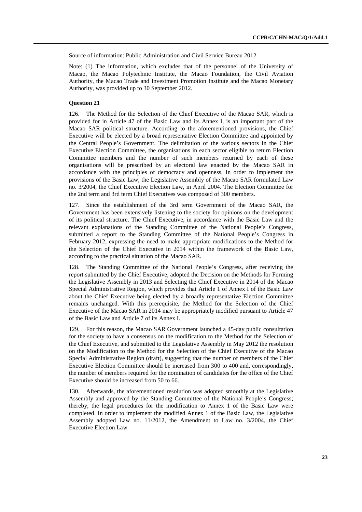Source of information: Public Administration and Civil Service Bureau 2012

Note: (1) The information, which excludes that of the personnel of the University of Macao, the Macao Polytechnic Institute, the Macao Foundation, the Civil Aviation Authority, the Macao Trade and Investment Promotion Institute and the Macao Monetary Authority, was provided up to 30 September 2012.

# **Question 21**

126. The Method for the Selection of the Chief Executive of the Macao SAR, which is provided for in Article 47 of the Basic Law and its Annex I, is an important part of the Macao SAR political structure. According to the aforementioned provisions, the Chief Executive will be elected by a broad representative Election Committee and appointed by the Central People's Government. The delimitation of the various sectors in the Chief Executive Election Committee, the organisations in each sector eligible to return Election Committee members and the number of such members returned by each of these organisations will be prescribed by an electoral law enacted by the Macao SAR in accordance with the principles of democracy and openness. In order to implement the provisions of the Basic Law, the Legislative Assembly of the Macao SAR formulated Law no. 3/2004, the Chief Executive Election Law, in April 2004. The Election Committee for the 2nd term and 3rd term Chief Executives was composed of 300 members.

127. Since the establishment of the 3rd term Government of the Macao SAR, the Government has been extensively listening to the society for opinions on the development of its political structure. The Chief Executive, in accordance with the Basic Law and the relevant explanations of the Standing Committee of the National People's Congress, submitted a report to the Standing Committee of the National People's Congress in February 2012, expressing the need to make appropriate modifications to the Method for the Selection of the Chief Executive in 2014 within the framework of the Basic Law, according to the practical situation of the Macao SAR.

128. The Standing Committee of the National People's Congress, after receiving the report submitted by the Chief Executive, adopted the Decision on the Methods for Forming the Legislative Assembly in 2013 and Selecting the Chief Executive in 2014 of the Macao Special Administrative Region, which provides that Article 1 of Annex I of the Basic Law about the Chief Executive being elected by a broadly representative Election Committee remains unchanged. With this prerequisite, the Method for the Selection of the Chief Executive of the Macao SAR in 2014 may be appropriately modified pursuant to Article 47 of the Basic Law and Article 7 of its Annex I.

129. For this reason, the Macao SAR Government launched a 45-day public consultation for the society to have a consensus on the modification to the Method for the Selection of the Chief Executive, and submitted to the Legislative Assembly in May 2012 the resolution on the Modification to the Method for the Selection of the Chief Executive of the Macao Special Administrative Region (draft), suggesting that the number of members of the Chief Executive Election Committee should be increased from 300 to 400 and, correspondingly, the number of members required for the nomination of candidates for the office of the Chief Executive should be increased from 50 to 66.

130. Afterwards, the aforementioned resolution was adopted smoothly at the Legislative Assembly and approved by the Standing Committee of the National People's Congress; thereby, the legal procedures for the modification to Annex 1 of the Basic Law were completed. In order to implement the modified Annex 1 of the Basic Law, the Legislative Assembly adopted Law no. 11/2012, the Amendment to Law no. 3/2004, the Chief Executive Election Law.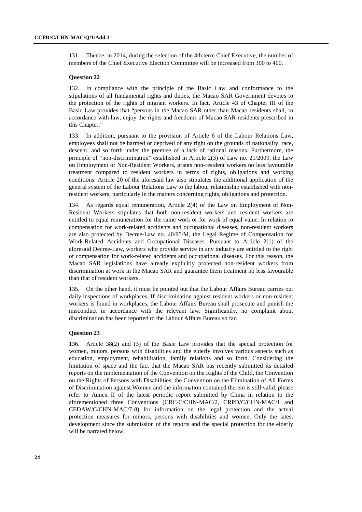131. Thence, in 2014, during the selection of the 4th term Chief Executive, the number of members of the Chief Executive Election Committee will be increased from 300 to 400.

# **Question 22**

132. In compliance with the principle of the Basic Law and conformance to the stipulations of all fundamental rights and duties, the Macao SAR Government devotes to the protection of the rights of migrant workers. In fact, Article 43 of Chapter III of the Basic Law provides that "persons in the Macao SAR other than Macao residents shall, in accordance with law, enjoy the rights and freedoms of Macao SAR residents prescribed in this Chapter."

133. In addition, pursuant to the provision of Article 6 of the Labour Relations Law, employees shall not be harmed or deprived of any right on the grounds of nationality, race, descent, and so forth under the premise of a lack of rational reasons. Furthermore, the principle of "non-discrimination" established in Article 2(3) of Law no. 21/2009, the Law on Employment of Non-Resident Workers, grants non-resident workers no less favourable treatment compared to resident workers in terms of rights, obligations and working conditions. Article 20 of the aforesaid law also stipulates the additional application of the general system of the Labour Relations Law to the labour relationship established with nonresident workers, particularly in the matters concerning rights, obligations and protection.

134. As regards equal remuneration, Article 2(4) of the Law on Employment of Non-Resident Workers stipulates that both non-resident workers and resident workers are entitled to equal remuneration for the same work or for work of equal value. In relation to compensation for work-related accidents and occupational diseases, non-resident workers are also protected by Decree-Law no. 40/95/M, the Legal Regime of Compensation for Work-Related Accidents and Occupational Diseases. Pursuant to Article 2(1) of the aforesaid Decree-Law, workers who provide service in any industry are entitled to the right of compensation for work-related accidents and occupational diseases. For this reason, the Macao SAR legislations have already explicitly protected non-resident workers from discrimination at work in the Macao SAR and guarantee them treatment no less favourable than that of resident workers.

135. On the other hand, it must be pointed out that the Labour Affairs Bureau carries out daily inspections of workplaces. If discrimination against resident workers or non-resident workers is found in workplaces, the Labour Affairs Bureau shall prosecute and punish the misconduct in accordance with the relevant law. Significantly, no complaint about discrimination has been reported to the Labour Affairs Bureau so far.

## **Question 23**

136. Article 38(2) and (3) of the Basic Law provides that the special protection for women, minors, persons with disabilities and the elderly involves various aspects such as education, employment, rehabilitation, family relations and so forth. Considering the limitation of space and the fact that the Macao SAR has recently submitted its detailed reports on the implementation of the Convention on the Rights of the Child, the Convention on the Rights of Persons with Disabilities, the Convention on the Elimination of All Forms of Discrimination against Women and the information contained therein is still valid, please refer to Annex II of the latest periodic report submitted by China in relation to the aforementioned three Conventions (CRC/C/CHN-MAC/2, CRPD/C/CHN-MAC/1 and CEDAW/C/CHN-MAC/7-8) for information on the legal protection and the actual protection measures for minors, persons with disabilities and women. Only the latest development since the submission of the reports and the special protection for the elderly will be narrated below.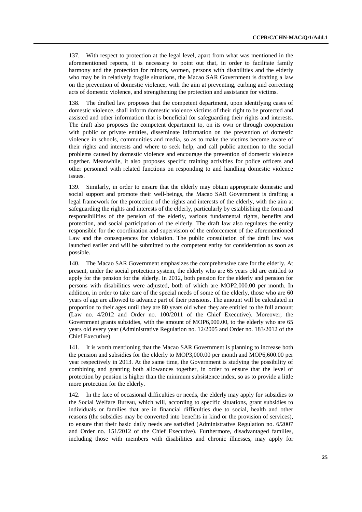137. With respect to protection at the legal level, apart from what was mentioned in the aforementioned reports, it is necessary to point out that, in order to facilitate family harmony and the protection for minors, women, persons with disabilities and the elderly who may be in relatively fragile situations, the Macao SAR Government is drafting a law on the prevention of domestic violence, with the aim at preventing, curbing and correcting acts of domestic violence, and strengthening the protection and assistance for victims.

138. The drafted law proposes that the competent department, upon identifying cases of domestic violence, shall inform domestic violence victims of their right to be protected and assisted and other information that is beneficial for safeguarding their rights and interests. The draft also proposes the competent department to, on its own or through cooperation with public or private entities, disseminate information on the prevention of domestic violence in schools, communities and media, so as to make the victims become aware of their rights and interests and where to seek help, and call public attention to the social problems caused by domestic violence and encourage the prevention of domestic violence together. Meanwhile, it also proposes specific training activities for police officers and other personnel with related functions on responding to and handling domestic violence issues.

139. Similarly, in order to ensure that the elderly may obtain appropriate domestic and social support and promote their well-beings, the Macao SAR Government is drafting a legal framework for the protection of the rights and interests of the elderly, with the aim at safeguarding the rights and interests of the elderly, particularly by establishing the form and responsibilities of the pension of the elderly, various fundamental rights, benefits and protection, and social participation of the elderly. The draft law also regulates the entity responsible for the coordination and supervision of the enforcement of the aforementioned Law and the consequences for violation. The public consultation of the draft law was launched earlier and will be submitted to the competent entity for consideration as soon as possible.

140. The Macao SAR Government emphasizes the comprehensive care for the elderly. At present, under the social protection system, the elderly who are 65 years old are entitled to apply for the pension for the elderly. In 2012, both pension for the elderly and pension for persons with disabilities were adjusted, both of which are MOP2,000.00 per month. In addition, in order to take care of the special needs of some of the elderly, those who are 60 years of age are allowed to advance part of their pensions. The amount will be calculated in proportion to their ages until they are 80 years old when they are entitled to the full amount (Law no. 4/2012 and Order no. 100/2011 of the Chief Executive). Moreover, the Government grants subsidies, with the amount of MOP6,000.00, to the elderly who are 65 years old every year (Administrative Regulation no. 12/2005 and Order no. 183/2012 of the Chief Executive).

141. It is worth mentioning that the Macao SAR Government is planning to increase both the pension and subsidies for the elderly to MOP3,000.00 per month and MOP6,600.00 per year respectively in 2013. At the same time, the Government is studying the possibility of combining and granting both allowances together, in order to ensure that the level of protection by pension is higher than the minimum subsistence index, so as to provide a little more protection for the elderly.

142. In the face of occasional difficulties or needs, the elderly may apply for subsidies to the Social Welfare Bureau, which will, according to specific situations, grant subsidies to individuals or families that are in financial difficulties due to social, health and other reasons (the subsidies may be converted into benefits in kind or the provision of services), to ensure that their basic daily needs are satisfied (Administrative Regulation no. 6/2007 and Order no. 151/2012 of the Chief Executive). Furthermore, disadvantaged families, including those with members with disabilities and chronic illnesses, may apply for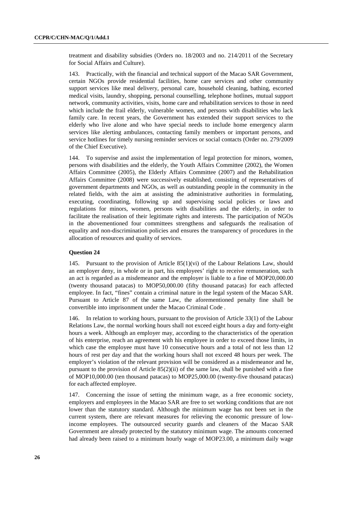treatment and disability subsidies (Orders no. 18/2003 and no. 214/2011 of the Secretary for Social Affairs and Culture).

143. Practically, with the financial and technical support of the Macao SAR Government, certain NGOs provide residential facilities, home care services and other community support services like meal delivery, personal care, household cleaning, bathing, escorted medical visits, laundry, shopping, personal counselling, telephone hotlines, mutual support network, community activities, visits, home care and rehabilitation services to those in need which include the frail elderly, vulnerable women, and persons with disabilities who lack family care. In recent years, the Government has extended their support services to the elderly who live alone and who have special needs to include home emergency alarm services like alerting ambulances, contacting family members or important persons, and service hotlines for timely nursing reminder services or social contacts (Order no. 279/2009 of the Chief Executive).

144. To supervise and assist the implementation of legal protection for minors, women, persons with disabilities and the elderly, the Youth Affairs Committee (2002), the Women Affairs Committee (2005), the Elderly Affairs Committee (2007) and the Rehabilitation Affairs Committee (2008) were successively established, consisting of representatives of government departments and NGOs, as well as outstanding people in the community in the related fields, with the aim at assisting the administrative authorities in formulating, executing, coordinating, following up and supervising social policies or laws and regulations for minors, women, persons with disabilities and the elderly, in order to facilitate the realisation of their legitimate rights and interests. The participation of NGOs in the abovementioned four committees strengthens and safeguards the realisation of equality and non-discrimination policies and ensures the transparency of procedures in the allocation of resources and quality of services.

## **Question 24**

145. Pursuant to the provision of Article 85(1)(vi) of the Labour Relations Law, should an employer deny, in whole or in part, his employees' right to receive remuneration, such an act is regarded as a misdemeanor and the employer is liable to a fine of MOP20,000.00 (twenty thousand patacas) to MOP50,000.00 (fifty thousand patacas) for each affected employee. In fact, "fines" contain a criminal nature in the legal system of the Macao SAR. Pursuant to Article 87 of the same Law, the aforementioned penalty fine shall be convertible into imprisonment under the Macao Criminal Code .

146. In relation to working hours, pursuant to the provision of Article 33(1) of the Labour Relations Law, the normal working hours shall not exceed eight hours a day and forty-eight hours a week. Although an employer may, according to the characteristics of the operation of his enterprise, reach an agreement with his employee in order to exceed those limits, in which case the employee must have 10 consecutive hours and a total of not less than 12 hours of rest per day and that the working hours shall not exceed 48 hours per week. The employer's violation of the relevant provision will be considered as a misdemeanor and he, pursuant to the provision of Article  $85(2)(ii)$  of the same law, shall be punished with a fine of MOP10,000.00 (ten thousand patacas) to MOP25,000.00 (twenty-five thousand patacas) for each affected employee.

147. Concerning the issue of setting the minimum wage, as a free economic society, employers and employees in the Macao SAR are free to set working conditions that are not lower than the statutory standard. Although the minimum wage has not been set in the current system, there are relevant measures for relieving the economic pressure of lowincome employees. The outsourced security guards and cleaners of the Macao SAR Government are already protected by the statutory minimum wage. The amounts concerned had already been raised to a minimum hourly wage of MOP23.00, a minimum daily wage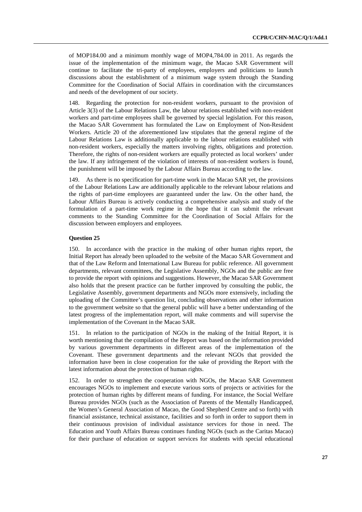of MOP184.00 and a minimum monthly wage of MOP4,784.00 in 2011. As regards the issue of the implementation of the minimum wage, the Macao SAR Government will continue to facilitate the tri-party of employees, employers and politicians to launch discussions about the establishment of a minimum wage system through the Standing Committee for the Coordination of Social Affairs in coordination with the circumstances and needs of the development of our society.

148. Regarding the protection for non-resident workers, pursuant to the provision of Article 3(3) of the Labour Relations Law, the labour relations established with non-resident workers and part-time employees shall be governed by special legislation. For this reason, the Macao SAR Government has formulated the Law on Employment of Non-Resident Workers. Article 20 of the aforementioned law stipulates that the general regime of the Labour Relations Law is additionally applicable to the labour relations established with non-resident workers, especially the matters involving rights, obligations and protection. Therefore, the rights of non-resident workers are equally protected as local workers' under the law. If any infringement of the violation of interests of non-resident workers is found, the punishment will be imposed by the Labour Affairs Bureau according to the law.

149. As there is no specification for part-time work in the Macao SAR yet, the provisions of the Labour Relations Law are additionally applicable to the relevant labour relations and the rights of part-time employees are guaranteed under the law. On the other hand, the Labour Affairs Bureau is actively conducting a comprehensive analysis and study of the formulation of a part-time work regime in the hope that it can submit the relevant comments to the Standing Committee for the Coordination of Social Affairs for the discussion between employers and employees.

# **Question 25**

150. In accordance with the practice in the making of other human rights report, the Initial Report has already been uploaded to the website of the Macao SAR Government and that of the Law Reform and International Law Bureau for public reference. All government departments, relevant committees, the Legislative Assembly, NGOs and the public are free to provide the report with opinions and suggestions. However, the Macao SAR Government also holds that the present practice can be further improved by consulting the public, the Legislative Assembly, government departments and NGOs more extensively, including the uploading of the Committee's question list, concluding observations and other information to the government website so that the general public will have a better understanding of the latest progress of the implementation report, will make comments and will supervise the implementation of the Covenant in the Macao SAR.

151. In relation to the participation of NGOs in the making of the Initial Report, it is worth mentioning that the compilation of the Report was based on the information provided by various government departments in different areas of the implementation of the Covenant. These government departments and the relevant NGOs that provided the information have been in close cooperation for the sake of providing the Report with the latest information about the protection of human rights.

In order to strengthen the cooperation with NGOs, the Macao SAR Government encourages NGOs to implement and execute various sorts of projects or activities for the protection of human rights by different means of funding. For instance, the Social Welfare Bureau provides NGOs (such as the Association of Parents of the Mentally Handicapped, the Women's General Association of Macao, the Good Shepherd Centre and so forth) with financial assistance, technical assistance, facilities and so forth in order to support them in their continuous provision of individual assistance services for those in need. The Education and Youth Affairs Bureau continues funding NGOs (such as the Caritas Macao) for their purchase of education or support services for students with special educational